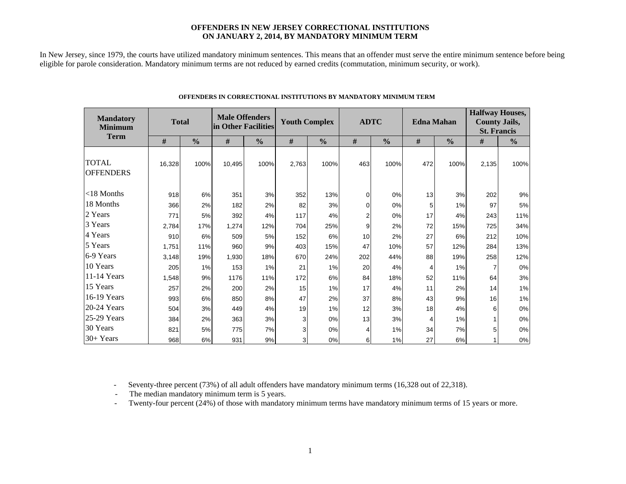#### **OFFENDERS IN NEW JERSEY CORRECTIONAL INSTITUTIONS ON JANUARY 2, 2014, BY MANDATORY MINIMUM TERM**

In New Jersey, since 1979, the courts have utilized mandatory minimum sentences. This means that an offender must serve the entire minimum sentence before being eligible for parole consideration. Mandatory minimum terms are not reduced by earned credits (commutation, minimum security, or work).

| <b>Mandatory</b><br><b>Minimum</b> | <b>Total</b> |               | <b>Male Offenders</b><br>in Other Facilities |               | <b>Youth Complex</b> |               |          | <b>ADTC</b>   |      | <b>Edna Mahan</b> | <b>Halfway Houses,</b><br><b>County Jails,</b><br><b>St. Francis</b> |               |  |
|------------------------------------|--------------|---------------|----------------------------------------------|---------------|----------------------|---------------|----------|---------------|------|-------------------|----------------------------------------------------------------------|---------------|--|
| <b>Term</b>                        | $\#$         | $\frac{0}{0}$ | $\#$                                         | $\frac{0}{0}$ | $\#$                 | $\frac{0}{0}$ | #        | $\frac{0}{0}$ | $\#$ | $\frac{0}{0}$     | #                                                                    | $\frac{0}{0}$ |  |
| <b>TOTAL</b><br><b>OFFENDERS</b>   | 16,328       | 100%          | 10,495                                       | 100%          | 2,763                | 100%          | 463      | 100%          | 472  | 100%              | 2,135                                                                | 100%          |  |
| $<$ 18 Months                      | 918          | 6%            | 351                                          | 3%            | 352                  | 13%           | $\Omega$ | 0%            | 13   | 3%                | 202                                                                  | 9%            |  |
| 18 Months                          | 366          | 2%            | 182                                          | 2%            | 82                   | 3%            | 0        | 0%            | 5    | 1%                | 97                                                                   | 5%            |  |
| 2 Years                            | 771          | 5%            | 392                                          | 4%            | 117                  | 4%            | 2        | 0%            | 17   | 4%                | 243                                                                  | 11%           |  |
| 3 Years                            | 2.784        | 17%           | 1.274                                        | 12%           | 704                  | 25%           | 9        | 2%            | 72   | 15%               | 725                                                                  | 34%           |  |
| 4 Years                            | 910          | 6%            | 509                                          | 5%            | 152                  | 6%            | 10       | 2%            | 27   | 6%                | 212                                                                  | 10%           |  |
| 5 Years                            | 1,751        | 11%           | 960                                          | 9%            | 403                  | 15%           | 47       | 10%           | 57   | 12%               | 284                                                                  | 13%           |  |
| 6-9 Years                          | 3,148        | 19%           | 1,930                                        | 18%           | 670                  | 24%           | 202      | 44%           | 88   | 19%               | 258                                                                  | 12%           |  |
| 10 Years                           | 205          | 1%            | 153                                          | 1%            | 21                   | 1%            | 20       | 4%            | 4    | 1%                | 7                                                                    | 0%            |  |
| 11-14 Years                        | 1,548        | 9%            | 1176                                         | 11%           | 172                  | 6%            | 84       | 18%           | 52   | 11%               | 64                                                                   | 3%            |  |
| 15 Years                           | 257          | 2%            | 200                                          | 2%            | 15                   | 1%            | 17       | 4%            | 11   | 2%                | 14                                                                   | 1%            |  |
| 16-19 Years                        | 993          | 6%            | 850                                          | 8%            | 47                   | 2%            | 37       | 8%            | 43   | 9%                | 16                                                                   | 1%            |  |
| 20-24 Years                        | 504          | 3%            | 449                                          | 4%            | 19                   | 1%            | 12       | 3%            | 18   | 4%                | 6                                                                    | $0\%$         |  |
| 25-29 Years                        | 384          | 2%            | 363                                          | 3%            | 3                    | 0%            | 13       | 3%            | 4    | 1%                | 1                                                                    | 0%            |  |
| 30 Years                           | 821          | 5%            | 775                                          | 7%            | 3                    | 0%            | 4        | 1%            | 34   | 7%                | 5                                                                    | 0%            |  |
| 30+ Years                          | 968          | 6%            | 931                                          | 9%            | 3                    | 0%            | 6        | 1%            | 27   | 6%                |                                                                      | $0\%$         |  |

#### **OFFENDERS IN CORRECTIONAL INSTITUTIONS BY MANDATORY MINIMUM TERM**

 $\sim 10^{11}$ 

- Seventy-three percent (73%) of all adult offenders have mandatory minimum terms (16,328 out of 22,318).

- The median mandatory minimum term is 5 years.

-Twenty-four percent (24%) of those with mandatory minimum terms have mandatory minimum terms of 15 years or more.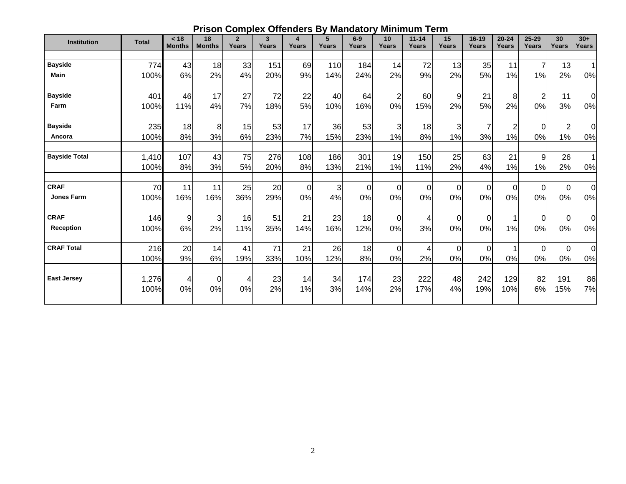| <b>Institution</b>   | <b>Total</b>  | < 18<br><b>Months</b> | 18<br><b>Months</b> | $\overline{2}$<br>Years | $\mathbf{3}$<br>Years | 4<br>Years | 5<br>Years | $6-9$<br>Years | 10<br>Years    | $11 - 14$<br>Years | 15<br>Years | $16 - 19$<br>Years | $20 - 24$<br>Years | 25-29<br>Years | 30<br><b>Years</b> | $30+$<br>Years  |
|----------------------|---------------|-----------------------|---------------------|-------------------------|-----------------------|------------|------------|----------------|----------------|--------------------|-------------|--------------------|--------------------|----------------|--------------------|-----------------|
|                      |               |                       |                     |                         |                       |            |            |                |                |                    |             |                    |                    |                |                    |                 |
| <b>Bayside</b>       | 774           | 43                    | 18                  | 33                      | 151                   | 69         | 110        | 184            | 14             | 72                 | 13          | 35                 | 11                 | 7              | 13                 | $\mathbf{1}$    |
| <b>Main</b>          | 100%          | 6%                    | 2%                  | 4%                      | 20%                   | 9%         | 14%        | 24%            | 2%             | 9%                 | 2%          | 5%                 | 1%                 | 1%             | 2%                 | 0%              |
| <b>Bayside</b>       | 401           | 46                    | 17                  | 27                      | 72                    | 22         | 40         | 64             | $\overline{2}$ | 60                 | 9           | 21                 | 8                  | $\overline{2}$ | 11                 | 0l              |
| Farm                 | 100%          | 11%                   | 4%                  | 7%                      | 18%                   | 5%         | 10%        | 16%            | 0%             | 15%                | 2%          | 5%                 | 2%                 | 0%             | 3%                 | $0\%$           |
| <b>Bayside</b>       | 235           | 18                    | 8                   | 15                      | 53                    | 17         | 36         | 53             | 3              | 18                 | 3           | $\overline{7}$     | $\overline{c}$     | $\Omega$       | $\overline{2}$     | 0l              |
| Ancora               | 100%          | 8%                    | 3%                  | 6%                      | 23%                   | 7%         | 15%        | 23%            | 1%             | 8%                 | 1%          | 3%                 | 1%                 | 0%             | 1%                 | $0\%$           |
| <b>Bayside Total</b> | 1,410<br>100% | 107<br>8%             | 43<br>3%            | 75<br>5%                | 276<br>20%            | 108<br>8%  | 186<br>13% | 301<br>21%     | 19<br>1%       | 150<br>11%         | 25<br>2%    | 63<br>4%           | 21<br>1%           | 9<br>1%        | 26<br>2%           | $\vert$ 1<br>0% |
|                      |               |                       |                     |                         |                       |            |            |                |                |                    |             |                    |                    |                |                    |                 |
| <b>CRAF</b>          | 70            | 11                    | 11                  | 25                      | 20                    | $\Omega$   | 3          | $\overline{0}$ | $\overline{0}$ | 0                  | $\mathbf 0$ | $\overline{0}$     | $\overline{0}$     | $\overline{0}$ | $\Omega$           | $\overline{0}$  |
| <b>Jones Farm</b>    | 100%          | 16%                   | 16%                 | 36%                     | 29%                   | 0%         | 4%         | 0%             | 0%             | 0%                 | 0%          | 0%                 | 0%                 | 0%             | 0%                 | 0%              |
| <b>CRAF</b>          | 146           | 9                     | 3                   | 16                      | 51                    | 21         | 23         | 18             | 0              | 4                  | 0           | $\Omega$           |                    | 0              | $\Omega$           | $\overline{0}$  |
| <b>Reception</b>     | 100%          | 6%                    | 2%                  | 11%                     | 35%                   | 14%        | 16%        | 12%            | 0%             | 3%                 | 0%          | 0%                 | 1%                 | 0%             | 0%                 | $0\%$           |
| <b>CRAF Total</b>    | 216           | 20                    | 14                  | 41                      | 71                    | 21         | 26         | 18             | $\overline{0}$ | 4                  | $\mathbf 0$ | $\overline{0}$     |                    | 0              | $\Omega$           | $\overline{0}$  |
|                      | 100%          | 9%                    | 6%                  | 19%                     | 33%                   | 10%        | 12%        | 8%             | 0%             | 2%                 | 0%          | 0%                 | 0%                 | 0%             | 0%                 | 0%              |
| <b>East Jersey</b>   | 1,276         | 4                     | $\Omega$            | $\overline{4}$          | 23                    | 14         | 34         | 174            | 23             | 222                | 48          | 242                | 129                | 82             | 191                | 86              |
|                      | 100%          | 0%                    | 0%                  | 0%                      | 2%                    | 1%         | 3%         | 14%            | 2%             | 17%                | 4%          | 19%                | 10%                | 6%             | 15%                | 7%              |
|                      |               |                       |                     |                         |                       |            |            |                |                |                    |             |                    |                    |                |                    |                 |

### **Prison Complex Offenders By Mandatory Minimum Term**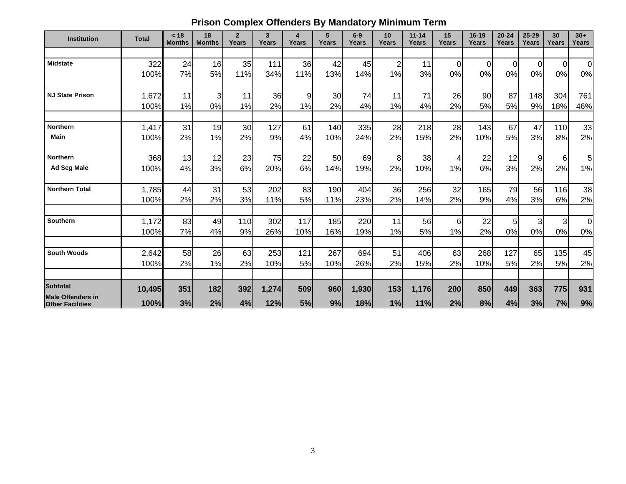# **Prison Complex Offenders By Mandatory Minimum Term**

| <b>Institution</b>                                  | <b>Total</b> | < 18<br><b>Months</b> | 18<br><b>Months</b> | $\overline{2}$<br>Years | $\mathbf{3}$<br>Years | 4<br>Years | 5<br>Years | $6-9$<br>Years | 10<br>Years    | $11 - 14$<br>Years | 15<br>Years | 16-19<br>Years | $20 - 24$<br>Years | $25 - 29$<br>Years | 30<br>Years    | $30+$<br><b>Years</b> |
|-----------------------------------------------------|--------------|-----------------------|---------------------|-------------------------|-----------------------|------------|------------|----------------|----------------|--------------------|-------------|----------------|--------------------|--------------------|----------------|-----------------------|
|                                                     |              |                       |                     |                         |                       |            |            |                |                |                    |             |                |                    |                    |                |                       |
| <b>Midstate</b>                                     | 322          | 24                    | 16                  | 35                      | 111                   | 36         | 42         | 45             | $\overline{2}$ | 11                 | 0           | $\mathbf 0$    | 0                  | $\overline{0}$     | $\overline{0}$ | $\overline{0}$        |
|                                                     | 100%         | 7%                    | 5%                  | 11%                     | 34%                   | 11%        | 13%        | 14%            | 1%             | 3%                 | 0%          | 0%             | 0%                 | 0%                 | 0%             | 0%                    |
|                                                     |              |                       |                     |                         |                       |            |            |                |                |                    |             |                |                    |                    |                |                       |
| <b>NJ State Prison</b>                              | 1,672        | 11                    | $\overline{3}$      | 11                      | 36                    | 9          | 30         | 74             | 11             | 71                 | 26          | 90             | 87                 | 148                | 304            | 761                   |
|                                                     | 100%         | 1%                    | 0%                  | 1%                      | 2%                    | 1%         | 2%         | 4%             | 1%             | 4%                 | 2%          | 5%             | 5%                 | 9%                 | 18%            | 46%                   |
| <b>Northern</b>                                     | 1,417        | 31                    | 19                  | 30                      | 127                   | 61         | 140        | 335            | 28             | 218                | 28          | 143            | 67                 | 47                 | 110            | 33                    |
| <b>Main</b>                                         | 100%         | 2%                    | 1%                  | 2%                      | 9%                    | 4%         | 10%        | 24%            | 2%             | 15%                | 2%          | 10%            | 5%                 | 3%                 | 8%             | 2%                    |
| <b>Northern</b>                                     | 368          | 13                    | 12                  | 23                      | 75                    | 22         | 50         | 69             | 8              | 38                 | 4           | 22             | 12                 | 9                  | 6              | 5                     |
| <b>Ad Seg Male</b>                                  | 100%         | 4%                    | 3%                  | 6%                      | 20%                   | 6%         | 14%        | 19%            | 2%             | 10%                | 1%          | 6%             | 3%                 | 2%                 | 2%             | 1%                    |
| <b>Northern Total</b>                               | 1,785        | 44                    | 31                  | 53                      | 202                   | 83         | 190        | 404            | 36             | 256                | 32          | 165            | 79                 | 56                 | 116            | 38                    |
|                                                     | 100%         | 2%                    | 2%                  | 3%                      | 11%                   | 5%         | 11%        | 23%            | 2%             | 14%                | 2%          | 9%             | 4%                 | 3%                 | 6%             | 2%                    |
| Southern                                            | 1,172        | 83                    | 49                  | 110                     | 302                   | 117        | 185        | 220            | 11             | 56                 | 6           | 22             | 5                  | 3                  | 3              | $\overline{0}$        |
|                                                     | 100%         | 7%                    | 4%                  | 9%                      | 26%                   | 10%        | 16%        | 19%            | 1%             | 5%                 | 1%          | 2%             | 0%                 | 0%                 | 0%             | 0%                    |
| <b>South Woods</b>                                  | 2,642        | 58                    | 26                  | 63                      | 253                   | 121        | 267        | 694            | 51             | 406                | 63          | 268            | 127                | 65                 | 135            | 45                    |
|                                                     | 100%         | 2%                    | 1%                  | 2%                      | 10%                   | 5%         | 10%        | 26%            | 2%             | 15%                | 2%          | 10%            | 5%                 | 2%                 | $5%$           | 2%                    |
| <b>Subtotal</b>                                     | 10,495       | 351                   | 182                 | 392                     | 1,274                 | 509        | 960        | 1,930          | 153            | 1,176              | 200         | 850            | 449                | 363                | 775            | 931                   |
| <b>Male Offenders in</b><br><b>Other Facilities</b> | 100%         | 3%                    | 2%                  | 4%                      | 12%                   | 5%         | 9%         | 18%            | 1%             | 11%                | 2%          | 8%             | 4%                 | 3%                 | 7%             | 9%                    |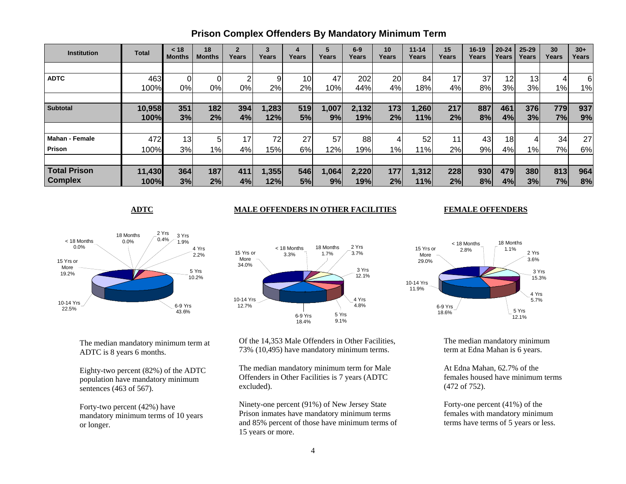| <b>Institution</b>    | <b>Total</b> | < 18<br>Months | 18<br><b>Months</b> | $\overline{2}$<br>Years | 3<br>Years | 4<br>Years      | Years | $6-9$<br>Years | 10<br>Years | $11 - 14$<br>Years | 15<br>Years     | 16-19<br>Years | $20 - 24$<br>Years | $25 - 29$<br>Years | 30<br>Years | $30+$<br>Years |
|-----------------------|--------------|----------------|---------------------|-------------------------|------------|-----------------|-------|----------------|-------------|--------------------|-----------------|----------------|--------------------|--------------------|-------------|----------------|
|                       |              |                |                     |                         |            |                 |       |                |             |                    |                 |                |                    |                    |             |                |
| <b>ADTC</b>           | 463          |                |                     | ົ                       | 9          | 10 <sub>1</sub> | 47    | 202            | 20          | 84                 | 17              | 37             | 12                 | 13                 |             | $6 \mid$       |
|                       | 100%         | 0%             | 0%                  | 0%                      | 2%         | 2%              | 10%   | 44%            | 4%          | 18%                | 4%              | 8%             | 3%                 | 3%                 | 1%          | 1%             |
|                       |              |                |                     |                         |            |                 |       |                |             |                    |                 |                |                    |                    |             |                |
| <b>Subtotal</b>       | 10,958       | 351            | 182                 | 394                     | 1,283      | 519             | 1,007 | 2,132          | 173         | 1,260              | 217             | 887            | 461                | 376                | 779         | 937            |
|                       | 100%         | 3%             | 2%                  | 4%                      | 12%        | 5%              | 9%    | 19%            | 2%          | 11%                | 2%              | 8%             | 4%                 | 3%                 | 7%          | 9%             |
|                       |              |                |                     |                         |            |                 |       |                |             |                    |                 |                |                    |                    |             |                |
| <b>Mahan - Female</b> | 472          | 13             | 5                   | 17 <sub>1</sub>         | 72         | 27              | 57    | 88             |             | 52                 | 11 <sub>1</sub> | 43             | 18                 | 4                  | 34          | 27             |
| <b>Prison</b>         | 100%         | 3%             | 1%                  | 4%                      | 15%        | 6%              | 12%   | 19%            | $1\%$       | 11%                | 2%              | 9%             | 4%                 | $1\%$              | 7%          | 6%             |
|                       |              |                |                     |                         |            |                 |       |                |             |                    |                 |                |                    |                    |             |                |
| <b>Total Prison</b>   | 11,430       | 364            | 187                 | 411                     | 1,355      | 546             | 1,064 | 2,220          | 177         | 1,312              | 228             | 930            | 479                | 380                | 813         | 964            |
| <b>Complex</b>        | 100%         | 3%             | 2%                  | 4%                      | 12%        | 5%              | 9%    | 19%            | 2%          | 11%                | 2%              | 8%             | 4%                 | 3%                 | 7%          | 8%             |

## **Prison Complex Offenders By Mandatory Minimum Term**

#### **ADTC** MALE OFFENDERS IN OTHER FACILITIES

#### **FEMALE OFFENDERS**



2 Yrs 3.7%18 Months 1.7%< 18 Months3.3%3 Yrs 12.1%4 Yrs 4.8% 5 Yrs 9.1% 6-9 Yrs 18.4%10-14 Yrs 12.7%15 Yrs or More 34.0%

The median mandatory minimum term at ADTC is 8 years 6 months.

Eighty-two percent (82%) of the ADTC population have mandatory minimum sentences (463 of 567).

Forty-two percent (42%) have mandatory minimum terms of 10 years or longer.

Of the 14,353 Male Offenders in Other Facilities, 73% (10,495) have mandatory minimum terms.

The median mandatory minimum term for Male Offenders in Other Facilities is 7 years (ADTC excluded).

Ninety-one percent (91%) of New Jersey State Prison inmates have mandatory minimum terms and 85% percent of those have minimum terms of 15 years or more.



The median mandatory minimum term at Edna Mahan is 6 years.

At Edna Mahan, 62.7% of the females housed have minimum terms (472 of 752).

Forty-one percent (41%) of the females with mandatory minimum terms have terms of 5 years or less.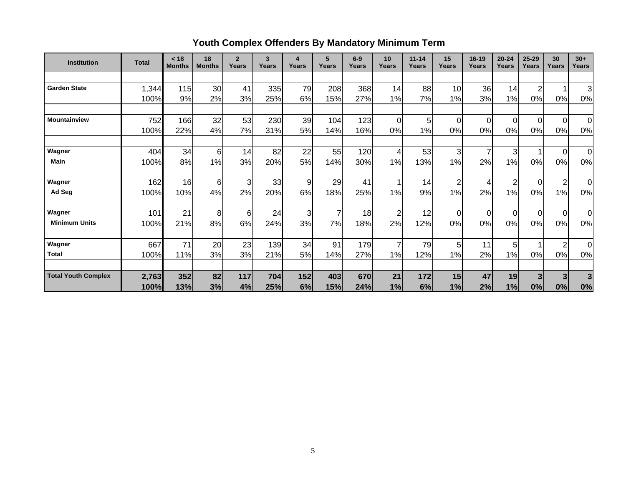# **Youth Complex Offenders By Mandatory Minimum Term**

| <b>Institution</b>         | <b>Total</b> | < 18<br><b>Months</b> | 18<br><b>Months</b> | $\overline{2}$<br>Years | 3<br>Years | 4<br>Years | 5<br>Years     | $6-9$<br>Years | 10<br>Years    | $11 - 14$<br>Years | 15<br>Years    | $16 - 19$<br>Years | $20 - 24$<br>Years | 25-29<br>Years | 30<br>Years    | $30+$<br>Years |
|----------------------------|--------------|-----------------------|---------------------|-------------------------|------------|------------|----------------|----------------|----------------|--------------------|----------------|--------------------|--------------------|----------------|----------------|----------------|
|                            |              |                       |                     |                         |            |            |                |                |                |                    |                |                    |                    |                |                |                |
| <b>Garden State</b>        | 1,344        | 115                   | 30                  | 41                      | 335        | 79         | 208            | 368            | 14             | 88                 | 10             | 36                 | 14                 | $\overline{2}$ |                | $\overline{3}$ |
|                            | 100%         | 9%                    | 2%                  | 3%                      | 25%        | 6%         | 15%            | 27%            | 1%             | 7%                 | 1%             | 3%                 | 1%                 | 0%             | 0%             | 0%             |
| <b>Mountainview</b>        | 752          | 166                   | 32                  | 53                      | 230        | 39         | 104            | 123            | $\mathbf 0$    | 5                  | $\mathbf 0$    | $\mathbf 0$        | $\overline{0}$     | $\overline{0}$ | $\overline{0}$ | $\overline{0}$ |
|                            | 100%         | 22%                   | 4%                  | 7%                      | 31%        | 5%         | 14%            | 16%            | 0%             | 1%                 | 0%             | 0%                 | 0%                 | 0%             | 0%             | 0%             |
| Wagner                     | 404          | 34                    | 6                   | 14                      | 82         | 22         | 55             | 120            | 4              | 53                 | 3              | $\overline{7}$     | $\mathbf{3}$       |                | $\overline{0}$ | 0              |
| <b>Main</b>                | 100%         | 8%                    | 1%                  | 3%                      | 20%        | 5%         | 14%            | 30%            | 1%             | 13%                | 1%             | 2%                 | 1%                 | 0%             | 0%             | 0%             |
| Wagner                     | 162          | 16                    | 6                   | $\overline{3}$          | 33         | 9          | 29             | 41             | 1              | 14                 | $\overline{c}$ | 4                  | $\overline{c}$     | $\overline{0}$ | $\overline{2}$ | 0l             |
| Ad Seg                     | 100%         | 10%                   | 4%                  | 2%                      | 20%        | 6%         | 18%            | 25%            | 1%             | 9%                 | 1%             | 2%                 | 1%                 | 0%             | 1%             | 0%             |
| Wagner                     | 101          | 21                    | 8                   | 6                       | 24         | 3          | $\overline{7}$ | 18             | $\overline{2}$ | 12                 | $\mathbf 0$    | 0                  | 0                  | $\Omega$       | $\overline{0}$ | $\overline{0}$ |
| <b>Minimum Units</b>       | 100%         | 21%                   | 8%                  | 6%                      | 24%        | 3%         | 7%             | 18%            | 2%             | 12%                | 0%             | 0%                 | 0%                 | 0%             | 0%             | 0%             |
| Wagner                     | 667          | 71                    | 20                  | 23                      | 139        | 34         | 91             | 179            | 7              | 79                 | 5              | 11                 | 5                  |                | $\overline{2}$ | $\overline{0}$ |
| <b>Total</b>               | 100%         | 11%                   | 3%                  | 3%                      | 21%        | 5%         | 14%            | 27%            | 1%             | 12%                | 1%             | 2%                 | 1%                 | 0%             | 0%             | $0\%$          |
| <b>Total Youth Complex</b> | 2,763        | 352                   | 82                  | $117$                   | 704        | 152        | 403            | 670            | 21             | 172                | 15             | 47                 | 19                 | 3              | 3              | $\overline{3}$ |
|                            | 100%         | 13%                   | 3%                  | 4%                      | 25%        | 6%         | 15%            | 24%            | 1%             | 6%                 | 1%             | 2%                 | 1%                 | 0%             | 0%             | 0%             |